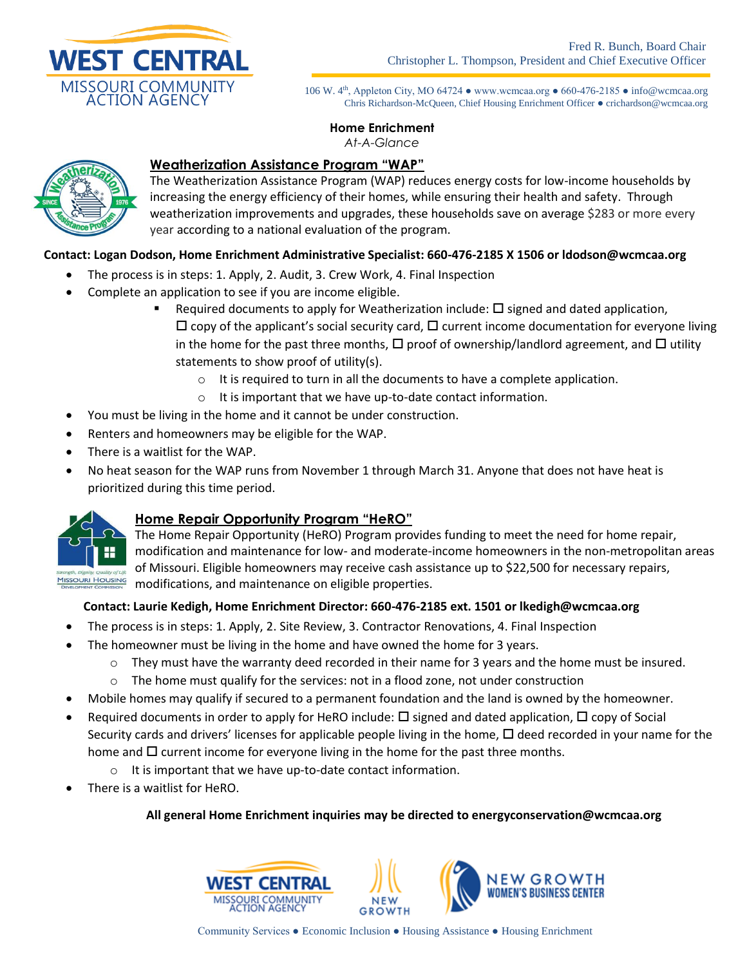

106 W. 4<sup>th</sup>, Appleton City, MO 64724 • www.wcmcaa.org • 660-476-2185 • info@wcmcaa.org Chris Richardson-McQueen, Chief Housing Enrichment Officer ● crichardson@wcmcaa.org

#### **Home Enrichment**  *At-A-Glance*



# **Weatherization Assistance Program "WAP"**

The Weatherization Assistance Program (WAP) reduces energy costs for low-income households by increasing the energy efficiency of their homes, while ensuring their health and safety. Through weatherization improvements and upgrades, these households save on average \$283 or more every year according to a national evaluation of the program.

## **Contact: Logan Dodson, Home Enrichment Administrative Specialist: 660-476-2185 X 1506 or ldodson@wcmcaa.org**

- The process is in steps: 1. Apply, 2. Audit, 3. Crew Work, 4. Final Inspection
- Complete an application to see if you are income eligible.
	- Required documents to apply for Weatherization include:  $\square$  signed and dated application,  $\Box$  copy of the applicant's social security card,  $\Box$  current income documentation for everyone living in the home for the past three months,  $\Box$  proof of ownership/landlord agreement, and  $\Box$  utility statements to show proof of utility(s).
		- $\circ$  It is required to turn in all the documents to have a complete application.
		- o It is important that we have up-to-date contact information.
- You must be living in the home and it cannot be under construction.
- Renters and homeowners may be eligible for the WAP.
- There is a waitlist for the WAP.
- No heat season for the WAP runs from November 1 through March 31. Anyone that does not have heat is prioritized during this time period.



## **Home Repair Opportunity Program "HeRO"**

The Home Repair Opportunity (HeRO) Program provides funding to meet the need for home repair, modification and maintenance for low- and moderate-income homeowners in the non-metropolitan areas of Missouri. Eligible homeowners may receive cash assistance up to \$22,500 for necessary repairs, modifications, and maintenance on eligible properties.

### **Contact: Laurie Kedigh, Home Enrichment Director: 660-476-2185 ext. 1501 or lkedigh@wcmcaa.org**

- The process is in steps: 1. Apply, 2. Site Review, 3. Contractor Renovations, 4. Final Inspection
- The homeowner must be living in the home and have owned the home for 3 years.
	- $\circ$  They must have the warranty deed recorded in their name for 3 years and the home must be insured.
	- $\circ$  The home must qualify for the services: not in a flood zone, not under construction
- Mobile homes may qualify if secured to a permanent foundation and the land is owned by the homeowner.
- Required documents in order to apply for HeRO include:  $\Box$  signed and dated application,  $\Box$  copy of Social Security cards and drivers' licenses for applicable people living in the home,  $\Box$  deed recorded in your name for the home and  $\Box$  current income for everyone living in the home for the past three months.
	- $\circ$  It is important that we have up-to-date contact information.
- There is a waitlist for HeRO.

### **All general Home Enrichment inquiries may be directed to energyconservation@wcmcaa.org**